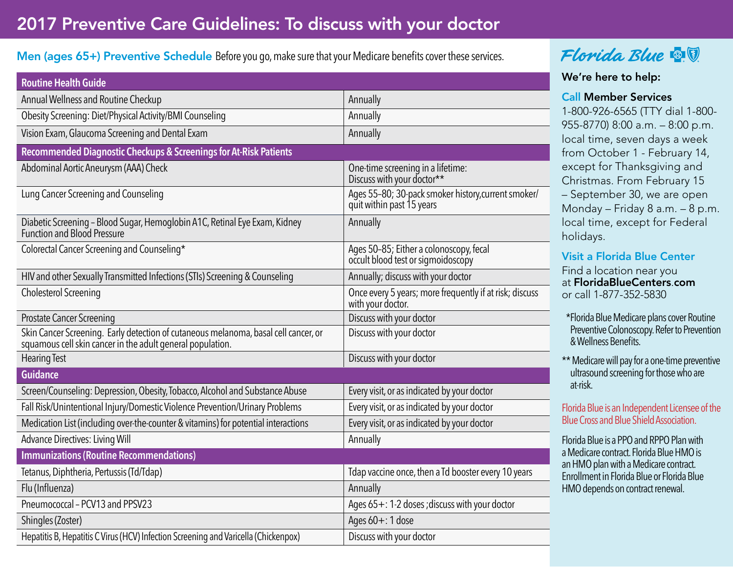## 2017 Preventive Care Guidelines: To discuss with your doctor

### Men (ages 65+) Preventive Schedule Before you go, make sure that your Medicare benefits cover these services.

| <b>Routine Health Guide</b>                                                                                                                       |                                                                                  |  |  |
|---------------------------------------------------------------------------------------------------------------------------------------------------|----------------------------------------------------------------------------------|--|--|
| Annual Wellness and Routine Checkup                                                                                                               | Annually                                                                         |  |  |
| Obesity Screening: Diet/Physical Activity/BMI Counseling                                                                                          | Annually                                                                         |  |  |
| Vision Exam, Glaucoma Screening and Dental Exam                                                                                                   | Annually                                                                         |  |  |
| Recommended Diagnostic Checkups & Screenings for At-Risk Patients                                                                                 |                                                                                  |  |  |
| Abdominal Aortic Aneurysm (AAA) Check                                                                                                             | One-time screening in a lifetime:<br>Discuss with your doctor**                  |  |  |
| Lung Cancer Screening and Counseling                                                                                                              | Ages 55-80; 30-pack smoker history, current smoker/<br>quit within past 15 years |  |  |
| Diabetic Screening - Blood Sugar, Hemoglobin A1C, Retinal Eye Exam, Kidney<br><b>Function and Blood Pressure</b>                                  | Annually                                                                         |  |  |
| Colorectal Cancer Screening and Counseling*                                                                                                       | Ages 50-85; Either a colonoscopy, fecal<br>occult blood test or sigmoidoscopy    |  |  |
| HIV and other Sexually Transmitted Infections (STIs) Screening & Counseling                                                                       | Annually; discuss with your doctor                                               |  |  |
| <b>Cholesterol Screening</b>                                                                                                                      | Once every 5 years; more frequently if at risk; discuss<br>with your doctor.     |  |  |
| <b>Prostate Cancer Screening</b>                                                                                                                  | Discuss with your doctor                                                         |  |  |
| Skin Cancer Screening. Early detection of cutaneous melanoma, basal cell cancer, or<br>squamous cell skin cancer in the adult general population. | Discuss with your doctor                                                         |  |  |
| <b>Hearing Test</b>                                                                                                                               | Discuss with your doctor                                                         |  |  |
| <b>Guidance</b>                                                                                                                                   |                                                                                  |  |  |
| Screen/Counseling: Depression, Obesity, Tobacco, Alcohol and Substance Abuse                                                                      | Every visit, or as indicated by your doctor                                      |  |  |
| Fall Risk/Unintentional Injury/Domestic Violence Prevention/Urinary Problems                                                                      | Every visit, or as indicated by your doctor                                      |  |  |
| Medication List (including over-the-counter & vitamins) for potential interactions                                                                | Every visit, or as indicated by your doctor                                      |  |  |
| <b>Advance Directives: Living Will</b>                                                                                                            | Annually                                                                         |  |  |
| <b>Immunizations (Routine Recommendations)</b>                                                                                                    |                                                                                  |  |  |
| Tetanus, Diphtheria, Pertussis (Td/Tdap)                                                                                                          | Tdap vaccine once, then a Td booster every 10 years                              |  |  |
| Flu (Influenza)                                                                                                                                   | Annually                                                                         |  |  |
| Pneumococcal - PCV13 and PPSV23                                                                                                                   | Ages $65 + 12$ doses; discuss with your doctor                                   |  |  |
| Shingles (Zoster)                                                                                                                                 | Ages $60 + 1$ dose                                                               |  |  |
| Hepatitis B, Hepatitis C Virus (HCV) Infection Screening and Varicella (Chickenpox)                                                               | Discuss with your doctor                                                         |  |  |

## Florida Blue **& V**

#### We're here to help:

#### Call Member Services

1-800-926-6565 (TTY dial 1-800- 955-8770) 8:00 a.m. – 8:00 p.m. local time, seven days a week from October 1 - February 14, except for Thanksgiving and Christmas. From February 15 – September 30, we are open Monday – Friday 8 a.m. – 8 p.m. local time, except for Federal holidays.

## Visit a Florida Blue Center

Find a location near you at FloridaBlueCenters.com or call 1-877-352-5830

- \*Florida Blue Medicare plans cover Routine Preventive Colonoscopy. Refer to Prevention & Wellness Benefits.
- \*\* Medicare will pay for a one-time preventive ultrasound screening for those who are at-risk.

#### Florida Blue is an Independent Licensee of the Blue Cross and Blue Shield Association.

Florida Blue is a PPO and RPPO Plan with a Medicare contract. Florida Blue HMO is an HMO plan with a Medicare contract. Enrollment in Florida Blue or Florida Blue HMO depends on contract renewal.